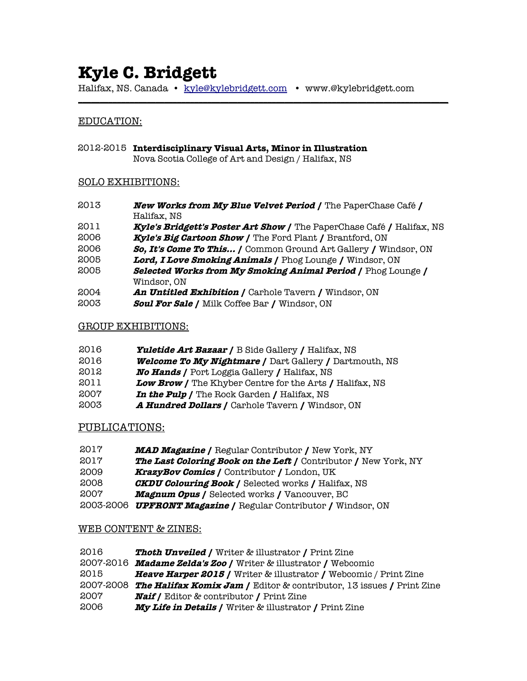# **Kyle C. Bridgett**

Halifax, NS. Canada • [kyle@kylebridgett.com](mailto:kyle@kylebridgett.com) • www.@kylebridgett.com

**\_\_\_\_\_\_\_\_\_\_\_\_\_\_\_\_\_\_\_\_\_\_\_\_\_\_\_\_\_\_\_\_\_\_\_\_\_\_\_\_\_\_\_\_\_\_\_\_\_\_\_\_\_\_\_\_\_\_\_\_\_\_\_\_\_\_\_\_\_\_\_\_\_\_\_\_\_\_\_\_\_\_\_\_\_\_**

# EDUCATION:

2012-2015 **Interdisciplinary Visual Arts, Minor in Illustration** Nova Scotia College of Art and Design / Halifax, NS

# SOLO EXHIBITIONS:

| 2013 | <b>New Works from My Blue Velvet Period / The PaperChase Café /</b>   |
|------|-----------------------------------------------------------------------|
|      | Halifax, NS                                                           |
| 2011 | Kyle's Bridgett's Poster Art Show / The PaperChase Café / Halifax, NS |
| 2006 | Kyle's Big Cartoon Show / The Ford Plant / Brantford, ON              |
| 2006 | So, It's Come To This / Common Ground Art Gallery / Windsor, ON       |
| 2005 | Lord, I Love Smoking Animals / Phog Lounge / Windsor, ON              |
| 2005 | <b>Selected Works from My Smoking Animal Period / Phog Lounge /</b>   |
|      | Windsor, ON                                                           |
| 2004 | <b>An Untitled Exhibition / Carhole Tavern / Windsor, ON</b>          |
| 2003 | <b>Soul For Sale / Milk Coffee Bar / Windsor, ON</b>                  |
|      |                                                                       |

# GROUP EXHIBITIONS:

| 2016 | <b>Yuletide Art Bazaar / B Side Gallery / Halifax, NS</b>      |
|------|----------------------------------------------------------------|
| 2016 | <b>Welcome To My Nightmare / Dart Gallery / Dartmouth, NS</b>  |
| 2012 | <b>No Hands /</b> Port Loggia Gallery / Halifax, NS            |
| 2011 | <b>Low Brow /</b> The Khyber Centre for the Arts / Halifax, NS |
| 2007 | In the Pulp / The Rock Garden / Halifax, NS                    |
| 2003 | A Hundred Dollars / Carhole Tavern / Windsor, ON               |

# PUBLICATIONS:

| 2017 | <b>MAD Magazine / Regular Contributor / New York, NY</b>                     |
|------|------------------------------------------------------------------------------|
| 2017 | <b>The Last Coloring Book on the Left / Contributor / New York, NY</b>       |
| 2009 | <b>KrazyBov Comics / Contributor / London, UK</b>                            |
| 2008 | <b>CKDU Colouring Book / Selected works / Halifax, NS</b>                    |
| 2007 | <b>Magnum Opus /</b> Selected works / Vancouver, BC                          |
|      | 2003-2006 <b>UPFRONT Magazine /</b> Regular Contributor <b>/</b> Windsor, ON |

# WEB CONTENT & ZINES:

| 2016 | <b>Thoth Unveiled / Writer &amp; illustrator / Print Zine</b> |  |
|------|---------------------------------------------------------------|--|
|      |                                                               |  |

- 2007-2016 **Madame Zelda's Zoo /** Writer & illustrator **/** Webcomic
- **Heave Harper 2015 /** Writer & illustrator **/** Webcomic / Print Zine
- 2007-2008 **The Halifax Komix Jam /** Editor & contributor, 13 issues **/** Print Zine
- **Naif /** Editor & contributor **/** Print Zine
- **My Life in Details /** Writer & illustrator **/** Print Zine